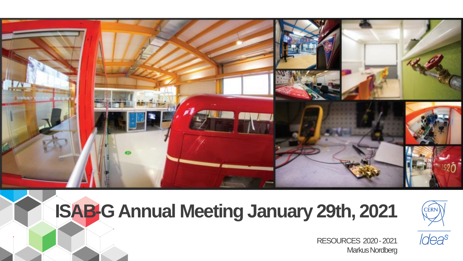

# **ISAB-G Annual Meeting January 29th, 2021**



Ideas

RESOURCES 2020 -2021 Markus Nordberg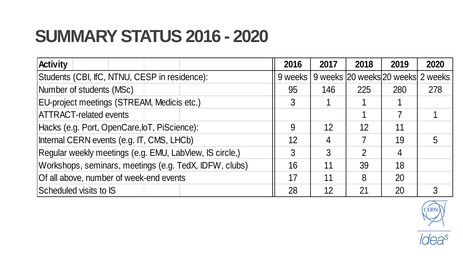### **SUMMARY STATUS 2016 - 2020**

| <b>Activity</b>                                         | 2016    | 2017 | 2018          | 2019                              | 2020 |
|---------------------------------------------------------|---------|------|---------------|-----------------------------------|------|
| Students (CBI, IfC, NTNU, CESP in residence):           | 9 weeks |      |               | 9 weeks 20 weeks 20 weeks 2 weeks |      |
| Number of students (MSc)                                | 95      | 146  | 225           | 280                               | 278  |
| EU-project meetings (STREAM, Medicis etc.)              | 3       |      |               |                                   |      |
| <b>IATTRACT-related events</b>                          |         |      |               |                                   |      |
| Hacks (e.g. Port, OpenCare, loT, PiScience):            | 9       | 12   | 12            | 11                                |      |
| Internal CERN events (e.g. IT, CMS, LHCb)               | 12      | 4    |               | 19                                | 5    |
| Regular weekly meetings (e.g. EMU, LabView, IS circle,) | 3       | 3    | $\mathcal{P}$ | 4                                 |      |
| Workshops, seminars, meetings (e.g. TedX, IDFW, clubs)  | 16      | 11   | 39            | 18                                |      |
| Of all above, number of week-end events                 | 17      | 11   | 8             | 20                                |      |
| Scheduled visits to IS                                  | 28      | 12   | 21            | 20                                |      |



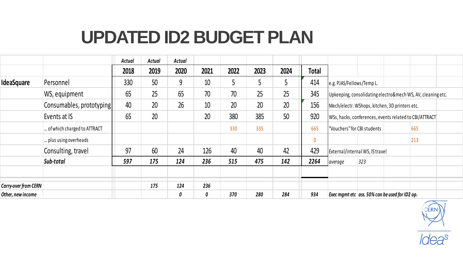## **UPDATED ID2 BUDGET PLAN**

|                      |                             | Actual | Actual | Actual |      |      |      |      |              |                                                        |                                                                                                                                                                         |  |     |  |
|----------------------|-----------------------------|--------|--------|--------|------|------|------|------|--------------|--------------------------------------------------------|-------------------------------------------------------------------------------------------------------------------------------------------------------------------------|--|-----|--|
|                      |                             | 2018   | 2019   | 2020   | 2021 | 2022 | 2023 | 2024 | <b>Total</b> |                                                        |                                                                                                                                                                         |  |     |  |
| IdeaSquare           | Personnel                   | 330    | 50     | 9      | 10   | 5    |      | 5    | 414          | e.g. PJAS/Fellows/Temp L.                              |                                                                                                                                                                         |  |     |  |
|                      | WS, equipment               | 65     | 25     | 65     | 70   | 70   | 25   | 25   | 345          |                                                        | Upkeeping, consolidating electro&mech WS, AV, cleaning etc.<br>Mech/electr. WShops, kitchen, 3D printers etc.<br>WSs, hacks, conferences, events related to CBI/ATTRACT |  |     |  |
|                      | Consumables, prototyping    | 40     | 20     | 26     | 10   | 20   | 20   | 20   | 156          |                                                        |                                                                                                                                                                         |  |     |  |
|                      | Events at IS                | 65     | 20     |        | 20   | 380  | 385  | 50   | 920          |                                                        |                                                                                                                                                                         |  |     |  |
|                      | of which charged to ATTRACT |        |        |        |      | 330  | 335  |      | 665          |                                                        | "Vouchers" for CBI students                                                                                                                                             |  | 665 |  |
|                      | plus using overheads.       |        |        |        |      |      |      |      | $\mathbf{0}$ |                                                        |                                                                                                                                                                         |  | 213 |  |
|                      | Consulting, travel          | 97     | 60     | 24     | 126  | 40   | 40   | 42   | 429          |                                                        | External/internal WS, IS travel                                                                                                                                         |  |     |  |
|                      | Sub-total                   | 597    | 175    | 124    | 236  | 515  | 475  | 142  | 2264         | average                                                | 323                                                                                                                                                                     |  |     |  |
| Carry-over from CERN |                             |        | 175    | 124    | 236  |      |      |      |              |                                                        |                                                                                                                                                                         |  |     |  |
| Other, new income    |                             |        |        | 0      | 0    | 370  | 280  | 284  | 934          | Exec mamt etc $\vert$ ass. 50% can be used for ID2 op. |                                                                                                                                                                         |  |     |  |

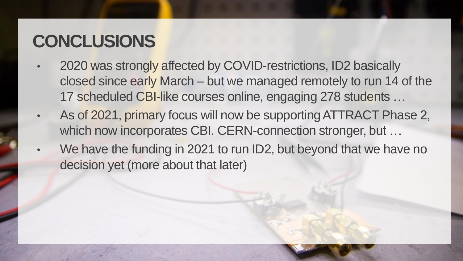#### **CONCLUSIONS**

- 2020 was strongly affected by COVID-restrictions, ID2 basically closed since early March – but we managed remotely to run 14 of the 17 scheduled CBI-like courses online, engaging 278 students …
- As of 2021, primary focus will now be supportingATTRACT Phase 2, which now incorporates CBI. CERN-connection stronger, but ...
- We have the funding in 2021 to run ID2, but beyond that we have no decision yet (more about that later)